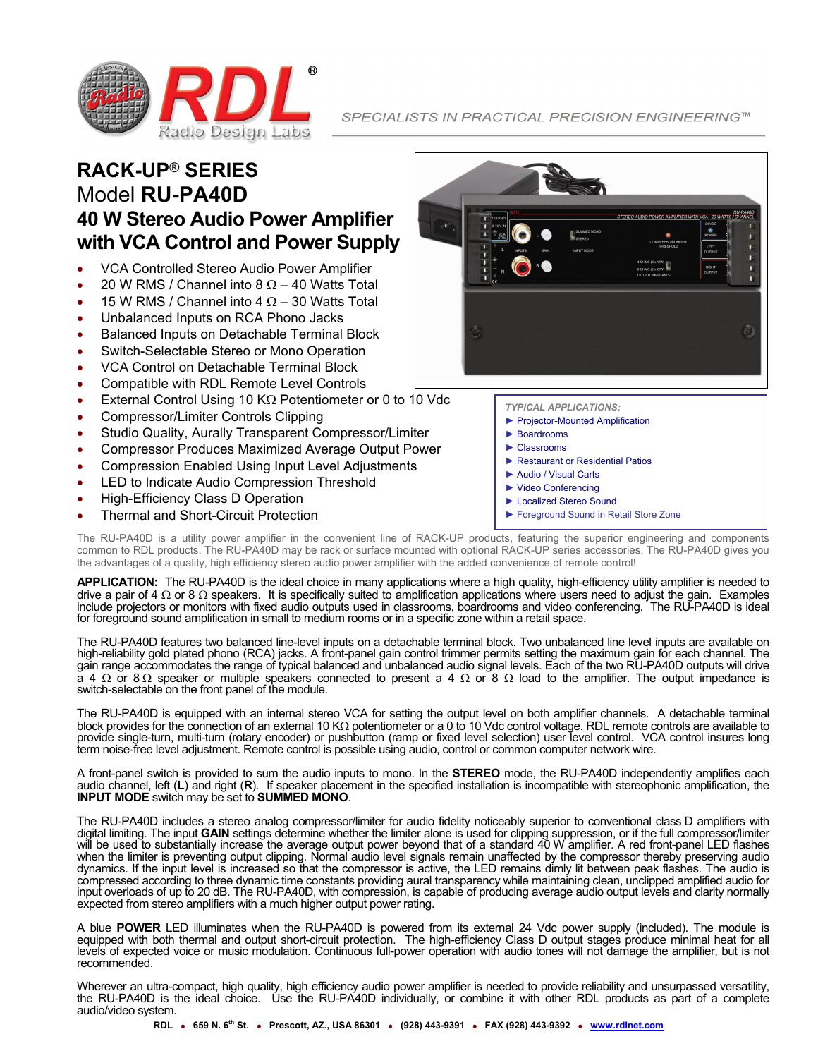

SPECIALISTS IN PRACTICAL PRECISION ENGINEERING™

## **RACK-UP**® **SERIES** Model **RU-PA40D 40 W Stereo Audio Power Amplifier with VCA Control and Power Supply**

- x VCA Controlled Stereo Audio Power Amplifier
- 20 W RMS / Channel into 8  $\Omega$  40 Watts Total
- 15 W RMS / Channel into 4  $\Omega$  30 Watts Total
- Unbalanced Inputs on RCA Phono Jacks
- Balanced Inputs on Detachable Terminal Block
- Switch-Selectable Stereo or Mono Operation
- x VCA Control on Detachable Terminal Block
- Compatible with RDL Remote Level Controls
- External Control Using 10 K $\Omega$  Potentiometer or 0 to 10 Vdc
- x Compressor/Limiter Controls Clipping
- Studio Quality, Aurally Transparent Compressor/Limiter
- x Compressor Produces Maximized Average Output Power
- Compression Enabled Using Input Level Adjustments
- LED to Indicate Audio Compression Threshold
- High-Efficiency Class D Operation
- **Thermal and Short-Circuit Protection**

- *TYPICAL APPLICATIONS:*
- ► Projector-Mounted Amplification
- ► Boardrooms
- ► Classrooms
- ► Restaurant or Residential Patios
- ► Audio / Visual Carts
- ► Video Conferencing
- ► Localized Stereo Sound
- ► Foreground Sound in Retail Store Zone

The RU-PA40D is a utility power amplifier in the convenient line of RACK-UP products, featuring the superior engineering and components common to RDL products. The RU-PA40D may be rack or surface mounted with optional RACK-UP series accessories. The RU-PA40D gives you the advantages of a quality, high efficiency stereo audio power amplifier with the added convenience of remote control!

**APPLICATION:** The RU-PA40D is the ideal choice in many applications where a high quality, high-efficiency utility amplifier is needed to drive a pair of 4  $\Omega$  or 8  $\Omega$  speakers. It is specifically suited to amplification applications where users need to adjust the gain. Examples include projectors or monitors with fixed audio outputs used in classrooms, boardrooms and video conferencing. The RU-PA40D is ideal for foreground sound amplification in small to medium rooms or in a specific zone within a retail space.

The RU-PA40D features two balanced line-level inputs on a detachable terminal block. Two unbalanced line level inputs are available on high-reliability gold plated phono (RCA) jacks. A front-panel gain control trimmer permits setting the maximum gain for each channel. The gain range accommodates the range of typical balanced and unbalanced audio signal levels. Each of the two RU-PA40D outputs will drive  $\alpha$  4  $\Omega$  or 8  $\Omega$  speaker or multiple speakers connected to present a 4  $\Omega$  or 8  $\Omega$  load to the amplifier. The output impedance is switch-selectable on the front panel of the module.

The RU-PA40D is equipped with an internal stereo VCA for setting the output level on both amplifier channels. A detachable terminal block provides for the connection of an external 10 K $\Omega$  potentiometer or a 0 to 10 Vdc control voltage. RDL remote controls are available to provide single-turn, multi-turn (rotary encoder) or pushbutton (ramp or fixed level selection) user level control. VCA control insures long term noise-free level adjustment. Remote control is possible using audio, control or common computer network wire.

A front-panel switch is provided to sum the audio inputs to mono. In the **STEREO** mode, the RU-PA40D independently amplifies each audio channel, left (**L**) and right (**R**). If speaker placement in the specified installation is incompatible with stereophonic amplification, the **INPUT MODE** switch may be set to **SUMMED MONO**.

The RU-PA40D includes a stereo analog compressor/limiter for audio fidelity noticeably superior to conventional class D amplifiers with digital limiting. The input **GAIN** settings determine whether the limiter alone is used for clipping suppression, or if the full compressor/limiter will be used to substantially increase the average output power beyond that of a standard 40 W amplifier. A red front-panel LED flashes when the limiter is preventing output clipping. Normal audio level signals remain unaffected by the compressor thereby preserving audio dynamics. If the input level is increased so that the compressor is active, the LED remains dimly lit between peak flashes. The audio is compressed according to three dynamic time constants providing aural transparency while maintaining clean, unclipped amplified audio for input overloads of up to 20 dB. The RU-PA40D, with compression, is capable of producing average audio output levels and clarity normally expected from stereo amplifiers with a much higher output power rating.

A blue **POWER** LED illuminates when the RU-PA40D is powered from its external 24 Vdc power supply (included). The module is equipped with both thermal and output short-circuit protection. The high-efficiency Class D output stages produce minimal heat for all levels of expected voice or music modulation. Continuous full-power operation with audio tones will not damage the amplifier, but is not recommended.

Wherever an ultra-compact, high quality, high efficiency audio power amplifier is needed to provide reliability and unsurpassed versatility, the RU-PA40D is the ideal choice. Use the RU-PA40D individually, or combine it with other RDL products as part of a complete audio/video system.